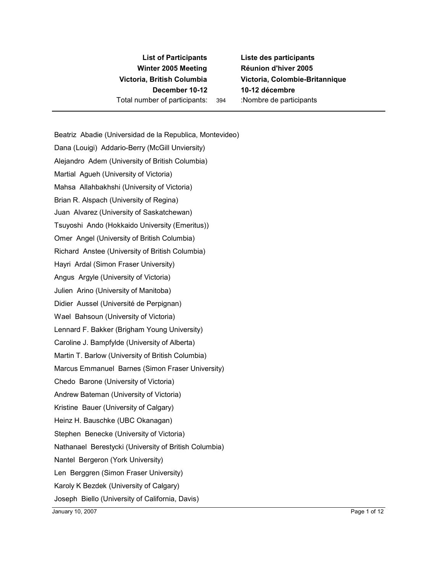## **List of Participants Winter 2005 Meeting December 10-12 10-12 décembre** Total number of participants: 394 :Nombre de participants

**Liste des participants Réunion d'hiver 2005 Victoria, British Columbia Victoria, Colombie-Britannique**

Beatriz Abadie (Universidad de la Republica, Montevideo) Dana (Louigi) Addario-Berry (McGill Unviersity) Alejandro Adem (University of British Columbia) Martial Agueh (University of Victoria) Mahsa Allahbakhshi (University of Victoria) Brian R. Alspach (University of Regina) Juan Alvarez (University of Saskatchewan) Tsuyoshi Ando (Hokkaido University (Emeritus)) Omer Angel (University of British Columbia) Richard Anstee (University of British Columbia) Hayri Ardal (Simon Fraser University) Angus Argyle (University of Victoria) Julien Arino (University of Manitoba) Didier Aussel (Université de Perpignan) Wael Bahsoun (University of Victoria) Lennard F. Bakker (Brigham Young University) Caroline J. Bampfylde (University of Alberta) Martin T. Barlow (University of British Columbia) Marcus Emmanuel Barnes (Simon Fraser University) Chedo Barone (University of Victoria) Andrew Bateman (University of Victoria) Kristine Bauer (University of Calgary) Heinz H. Bauschke (UBC Okanagan) Stephen Benecke (University of Victoria) Nathanael Berestycki (University of British Columbia) Nantel Bergeron (York University) Len Berggren (Simon Fraser University) Karoly K Bezdek (University of Calgary) Joseph Biello (University of California, Davis)

January 10, 2007 Page 1 of 12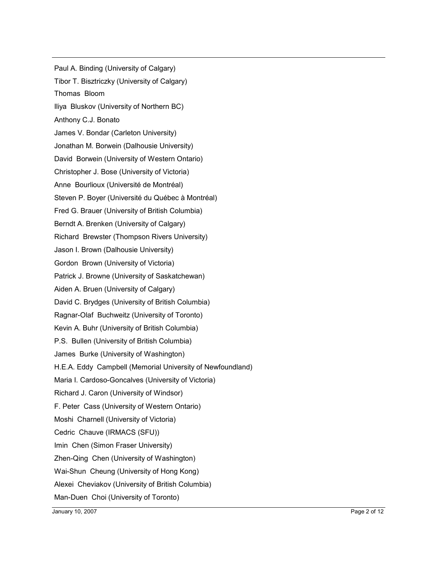Paul A. Binding (University of Calgary) Tibor T. Bisztriczky (University of Calgary) Thomas Bloom Iliya Bluskov (University of Northern BC) Anthony C.J. Bonato James V. Bondar (Carleton University) Jonathan M. Borwein (Dalhousie University) David Borwein (University of Western Ontario) Christopher J. Bose (University of Victoria) Anne Bourlioux (Université de Montréal) Steven P. Boyer (Université du Québec à Montréal) Fred G. Brauer (University of British Columbia) Berndt A. Brenken (University of Calgary) Richard Brewster (Thompson Rivers University) Jason I. Brown (Dalhousie University) Gordon Brown (University of Victoria) Patrick J. Browne (University of Saskatchewan) Aiden A. Bruen (University of Calgary) David C. Brydges (University of British Columbia) Ragnar-Olaf Buchweitz (University of Toronto) Kevin A. Buhr (University of British Columbia) P.S. Bullen (University of British Columbia) James Burke (University of Washington) H.E.A. Eddy Campbell (Memorial University of Newfoundland) Maria I. Cardoso-Goncalves (University of Victoria) Richard J. Caron (University of Windsor) F. Peter Cass (University of Western Ontario) Moshi Charnell (University of Victoria) Cedric Chauve (IRMACS (SFU)) Imin Chen (Simon Fraser University) Zhen-Qing Chen (University of Washington) Wai-Shun Cheung (University of Hong Kong) Alexei Cheviakov (University of British Columbia) Man-Duen Choi (University of Toronto)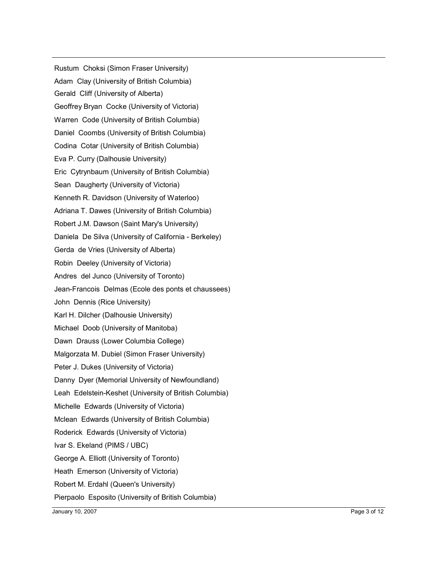Rustum Choksi (Simon Fraser University) Adam Clay (University of British Columbia) Gerald Cliff (University of Alberta) Geoffrey Bryan Cocke (University of Victoria) Warren Code (University of British Columbia) Daniel Coombs (University of British Columbia) Codina Cotar (University of British Columbia) Eva P. Curry (Dalhousie University) Eric Cytrynbaum (University of British Columbia) Sean Daugherty (University of Victoria) Kenneth R. Davidson (University of Waterloo) Adriana T. Dawes (University of British Columbia) Robert J.M. Dawson (Saint Mary's University) Daniela De Silva (University of California - Berkeley) Gerda de Vries (University of Alberta) Robin Deeley (University of Victoria) Andres del Junco (University of Toronto) Jean-Francois Delmas (Ecole des ponts et chaussees) John Dennis (Rice University) Karl H. Dilcher (Dalhousie University) Michael Doob (University of Manitoba) Dawn Drauss (Lower Columbia College) Malgorzata M. Dubiel (Simon Fraser University) Peter J. Dukes (University of Victoria) Danny Dyer (Memorial University of Newfoundland) Leah Edelstein-Keshet (University of British Columbia) Michelle Edwards (University of Victoria) Mclean Edwards (University of British Columbia) Roderick Edwards (University of Victoria) Ivar S. Ekeland (PIMS / UBC) George A. Elliott (University of Toronto) Heath Emerson (University of Victoria) Robert M. Erdahl (Queen's University) Pierpaolo Esposito (University of British Columbia)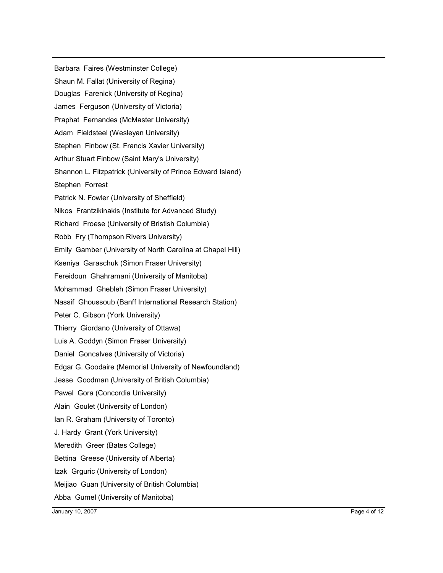Barbara Faires (Westminster College) Shaun M. Fallat (University of Regina) Douglas Farenick (University of Regina) James Ferguson (University of Victoria) Praphat Fernandes (McMaster University) Adam Fieldsteel (Wesleyan University) Stephen Finbow (St. Francis Xavier University) Arthur Stuart Finbow (Saint Mary's University) Shannon L. Fitzpatrick (University of Prince Edward Island) Stephen Forrest Patrick N. Fowler (University of Sheffield) Nikos Frantzikinakis (Institute for Advanced Study) Richard Froese (University of Bristish Columbia) Robb Fry (Thompson Rivers University) Emily Gamber (University of North Carolina at Chapel Hill) Kseniya Garaschuk (Simon Fraser University) Fereidoun Ghahramani (University of Manitoba) Mohammad Ghebleh (Simon Fraser University) Nassif Ghoussoub (Banff International Research Station) Peter C. Gibson (York University) Thierry Giordano (University of Ottawa) Luis A. Goddyn (Simon Fraser University) Daniel Goncalves (University of Victoria) Edgar G. Goodaire (Memorial University of Newfoundland) Jesse Goodman (University of British Columbia) Pawel Gora (Concordia University) Alain Goulet (University of London) Ian R. Graham (University of Toronto) J. Hardy Grant (York University) Meredith Greer (Bates College) Bettina Greese (University of Alberta) Izak Grguric (University of London) Meijiao Guan (University of British Columbia) Abba Gumel (University of Manitoba)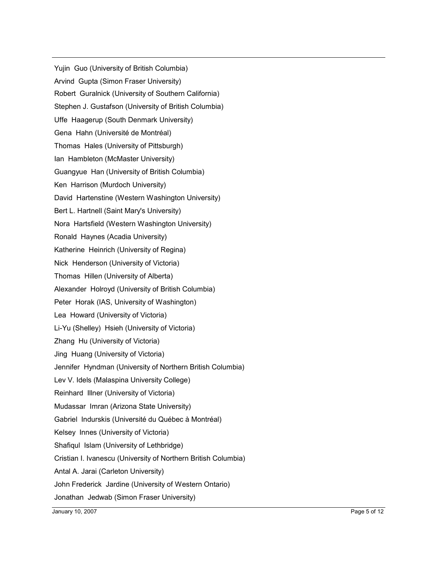Yujin Guo (University of British Columbia) Arvind Gupta (Simon Fraser University) Robert Guralnick (University of Southern California) Stephen J. Gustafson (University of British Columbia) Uffe Haagerup (South Denmark University) Gena Hahn (Université de Montréal) Thomas Hales (University of Pittsburgh) Ian Hambleton (McMaster University) Guangyue Han (University of British Columbia) Ken Harrison (Murdoch University) David Hartenstine (Western Washington University) Bert L. Hartnell (Saint Mary's University) Nora Hartsfield (Western Washington University) Ronald Haynes (Acadia University) Katherine Heinrich (University of Regina) Nick Henderson (University of Victoria) Thomas Hillen (University of Alberta) Alexander Holroyd (University of British Columbia) Peter Horak (IAS, University of Washington) Lea Howard (University of Victoria) Li-Yu (Shelley) Hsieh (University of Victoria) Zhang Hu (University of Victoria) Jing Huang (University of Victoria) Jennifer Hyndman (University of Northern British Columbia) Lev V. Idels (Malaspina University College) Reinhard Illner (University of Victoria) Mudassar Imran (Arizona State University) Gabriel Indurskis (Université du Québec à Montréal) Kelsey Innes (University of Victoria) Shafiqul Islam (University of Lethbridge) Cristian I. Ivanescu (University of Northern British Columbia) Antal A. Jarai (Carleton University) John Frederick Jardine (University of Western Ontario) Jonathan Jedwab (Simon Fraser University)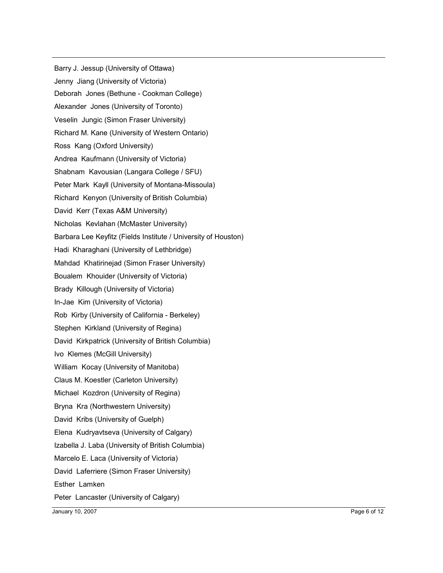Barry J. Jessup (University of Ottawa) Jenny Jiang (University of Victoria) Deborah Jones (Bethune - Cookman College) Alexander Jones (University of Toronto) Veselin Jungic (Simon Fraser University) Richard M. Kane (University of Western Ontario) Ross Kang (Oxford University) Andrea Kaufmann (University of Victoria) Shabnam Kavousian (Langara College / SFU) Peter Mark Kayll (University of Montana-Missoula) Richard Kenyon (University of British Columbia) David Kerr (Texas A&M University) Nicholas Kevlahan (McMaster University) Barbara Lee Keyfitz (Fields Institute / University of Houston) Hadi Kharaghani (University of Lethbridge) Mahdad Khatirinejad (Simon Fraser University) Boualem Khouider (University of Victoria) Brady Killough (University of Victoria) In-Jae Kim (University of Victoria) Rob Kirby (University of California - Berkeley) Stephen Kirkland (University of Regina) David Kirkpatrick (University of British Columbia) Ivo Klemes (McGill University) William Kocay (University of Manitoba) Claus M. Koestler (Carleton University) Michael Kozdron (University of Regina) Bryna Kra (Northwestern University) David Kribs (University of Guelph) Elena Kudryavtseva (University of Calgary) Izabella J. Laba (University of British Columbia) Marcelo E. Laca (University of Victoria) David Laferriere (Simon Fraser University) Esther Lamken Peter Lancaster (University of Calgary)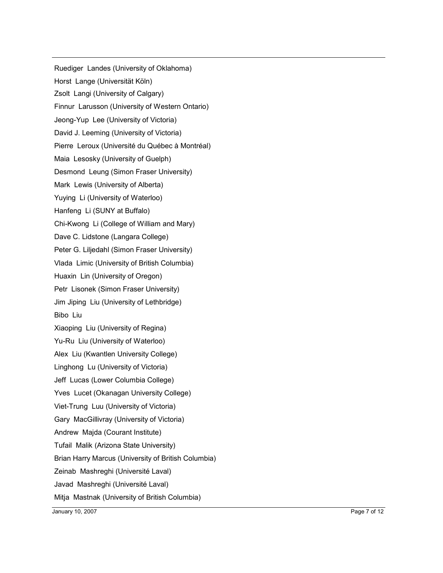Ruediger Landes (University of Oklahoma) Horst Lange (Universität Köln) Zsolt Langi (University of Calgary) Finnur Larusson (University of Western Ontario) Jeong-Yup Lee (University of Victoria) David J. Leeming (University of Victoria) Pierre Leroux (Université du Québec à Montréal) Maia Lesosky (University of Guelph) Desmond Leung (Simon Fraser University) Mark Lewis (University of Alberta) Yuying Li (University of Waterloo) Hanfeng Li (SUNY at Buffalo) Chi-Kwong Li (College of William and Mary) Dave C. Lidstone (Langara College) Peter G. Liljedahl (Simon Fraser University) Vlada Limic (University of British Columbia) Huaxin Lin (University of Oregon) Petr Lisonek (Simon Fraser University) Jim Jiping Liu (University of Lethbridge) Bibo Liu Xiaoping Liu (University of Regina) Yu-Ru Liu (University of Waterloo) Alex Liu (Kwantlen University College) Linghong Lu (University of Victoria) Jeff Lucas (Lower Columbia College) Yves Lucet (Okanagan University College) Viet-Trung Luu (University of Victoria) Gary MacGillivray (University of Victoria) Andrew Majda (Courant Institute) Tufail Malik (Arizona State University) Brian Harry Marcus (University of British Columbia) Zeinab Mashreghi (Université Laval) Javad Mashreghi (Université Laval) Mitja Mastnak (University of British Columbia)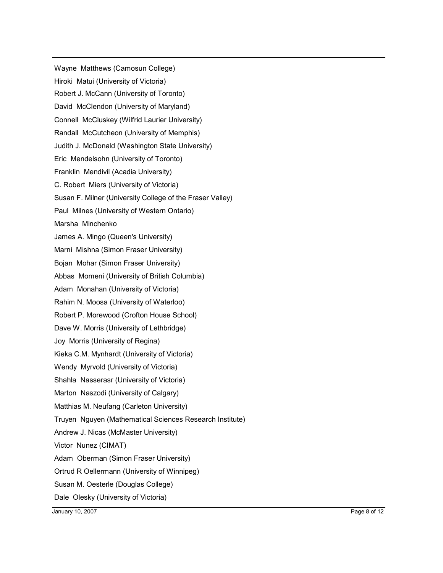Wayne Matthews (Camosun College) Hiroki Matui (University of Victoria) Robert J. McCann (University of Toronto) David McClendon (University of Maryland) Connell McCluskey (Wilfrid Laurier University) Randall McCutcheon (University of Memphis) Judith J. McDonald (Washington State University) Eric Mendelsohn (University of Toronto) Franklin Mendivil (Acadia University) C. Robert Miers (University of Victoria) Susan F. Milner (University College of the Fraser Valley) Paul Milnes (University of Western Ontario) Marsha Minchenko James A. Mingo (Queen's University) Marni Mishna (Simon Fraser University) Bojan Mohar (Simon Fraser University) Abbas Momeni (University of British Columbia) Adam Monahan (University of Victoria) Rahim N. Moosa (University of Waterloo) Robert P. Morewood (Crofton House School) Dave W. Morris (University of Lethbridge) Joy Morris (University of Regina) Kieka C.M. Mynhardt (University of Victoria) Wendy Myrvold (University of Victoria) Shahla Nasserasr (University of Victoria) Marton Naszodi (University of Calgary) Matthias M. Neufang (Carleton University) Truyen Nguyen (Mathematical Sciences Research Institute) Andrew J. Nicas (McMaster University) Victor Nunez (CIMAT) Adam Oberman (Simon Fraser University) Ortrud R Oellermann (University of Winnipeg) Susan M. Oesterle (Douglas College) Dale Olesky (University of Victoria)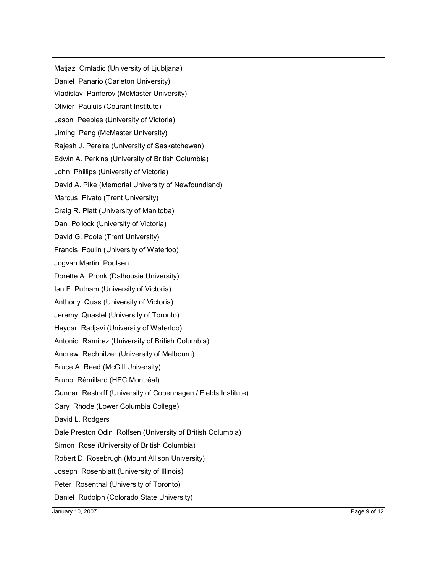Matjaz Omladic (University of Ljubljana) Daniel Panario (Carleton University) Vladislav Panferov (McMaster University) Olivier Pauluis (Courant Institute) Jason Peebles (University of Victoria) Jiming Peng (McMaster University) Rajesh J. Pereira (University of Saskatchewan) Edwin A. Perkins (University of British Columbia) John Phillips (University of Victoria) David A. Pike (Memorial University of Newfoundland) Marcus Pivato (Trent University) Craig R. Platt (University of Manitoba) Dan Pollock (University of Victoria) David G. Poole (Trent University) Francis Poulin (University of Waterloo) Jogvan Martin Poulsen Dorette A. Pronk (Dalhousie University) Ian F. Putnam (University of Victoria) Anthony Quas (University of Victoria) Jeremy Quastel (University of Toronto) Heydar Radjavi (University of Waterloo) Antonio Ramirez (University of British Columbia) Andrew Rechnitzer (University of Melbourn) Bruce A. Reed (McGill University) Bruno Rémillard (HEC Montréal) Gunnar Restorff (University of Copenhagen / Fields Institute) Cary Rhode (Lower Columbia College) David L. Rodgers Dale Preston Odin Rolfsen (University of British Columbia) Simon Rose (University of British Columbia) Robert D. Rosebrugh (Mount Allison University) Joseph Rosenblatt (University of Illinois) Peter Rosenthal (University of Toronto) Daniel Rudolph (Colorado State University)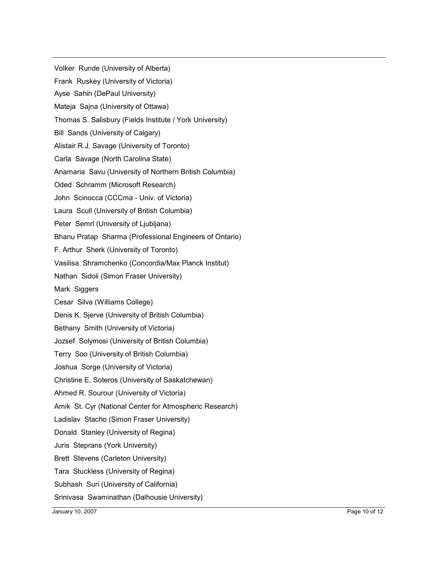Volker Runde (University of Alberta) Frank Ruskey (University of Victoria) Ayse Sahin (DePaul University) Mateja Sajna (University of Ottawa) Thomas S. Salisbury (Fields Institute / York University) Bill Sands (University of Calgary) Alistair R.J. Savage (University of Toronto) Carla Savage (North Carolina State) Anamaria Savu (University of Northern British Columbia) Oded Schramm (Microsoft Research) John Scinocca (CCCma - Univ. of Victoria) Laura Scull (University of British Columbia) Peter Semrl (University of Ljubljana) Bhanu Pratap Sharma (Professional Engineers of Ontario) F. Arthur Sherk (University of Toronto) Vasilisa Shramchenko (Concordia/Max Planck Institut) Nathan Sidoli (Simon Fraser University) Mark Siggers Cesar Silva (Williams College) Denis K. Sjerve (University of British Columbia) Bethany Smith (University of Victoria) Jozsef Solymosi (University of British Columbia) Terry Soo (University of British Columbia) Joshua Sorge (University of Victoria) Christine E. Soteros (University of Saskatchewan) Ahmed R. Sourour (University of Victoria) Amik St. Cyr (National Center for Atmospheric Research) Ladislav Stacho (Simon Fraser University) Donald Stanley (University of Regina) Juris Steprans (York University) Brett Stevens (Carleton University) Tara Stuckless (University of Regina) Subhash Suri (University of California) Srinivasa Swaminathan (Dalhousie University)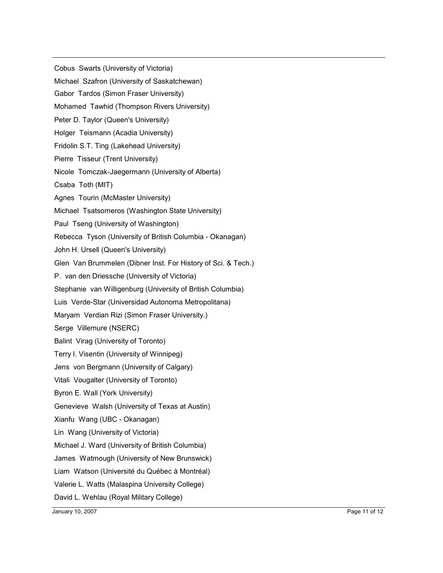Cobus Swarts (University of Victoria) Michael Szafron (University of Saskatchewan) Gabor Tardos (Simon Fraser University) Mohamed Tawhid (Thompson Rivers University) Peter D. Taylor (Queen's University) Holger Teismann (Acadia University) Fridolin S.T. Ting (Lakehead University) Pierre Tisseur (Trent University) Nicole Tomczak-Jaegermann (University of Alberta) Csaba Toth (MIT) Agnes Tourin (McMaster University) Michael Tsatsomeros (Washington State University) Paul Tseng (University of Washington) Rebecca Tyson (University of British Columbia - Okanagan) John H. Ursell (Queen's University) Glen Van Brummelen (Dibner Inst. For History of Sci. & Tech.) P. van den Driessche (University of Victoria) Stephanie van Willigenburg (University of British Columbia) Luis Verde-Star (Universidad Autonoma Metropolitana) Maryam Verdian Rizi (Simon Fraser University.) Serge Villemure (NSERC) Balint Virag (University of Toronto) Terry I. Visentin (University of Winnipeg) Jens von Bergmann (University of Calgary) Vitali Vougalter (University of Toronto) Byron E. Wall (York University) Genevieve Walsh (University of Texas at Austin) Xianfu Wang (UBC - Okanagan) Lin Wang (University of Victoria) Michael J. Ward (University of British Columbia) James Watmough (University of New Brunswick) Liam Watson (Université du Québec à Montréal) Valerie L. Watts (Malaspina University College) David L. Wehlau (Royal Military College)